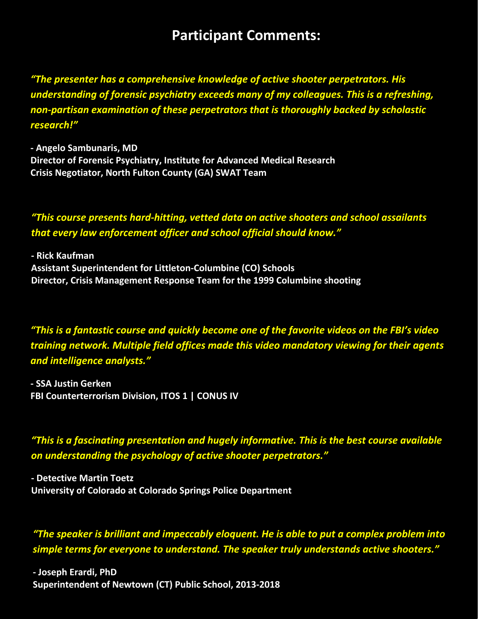# **Participant Comments:**

*"The presenter has a comprehensive knowledge of active shooter perpetrators. His understanding of forensic psychiatry exceeds many of my colleagues. This is a refreshing, non‐partisan examination of these perpetrators that is thoroughly backed by scholastic research!"* 

**‐ Angelo Sambunaris, MD Director of Forensic Psychiatry, Institute for Advanced Medical Research Crisis Negotiator, North Fulton County (GA) SWAT Team**

*"This course presents hard‐hitting, vetted data on active shooters and school assailants that every law enforcement officer and school official should know."* 

**‐ Rick Kaufman Assistant Superintendent for Littleton‐Columbine (CO) Schools Director, Crisis Management Response Team for the 1999 Columbine shooting** 

*"This is a fantastic course and quickly become one of the favorite videos on the FBI's video training network. Multiple field offices made this video mandatory viewing for their agents and intelligence analysts."* 

**‐ SSA Justin Gerken FBI Counterterrorism Division, ITOS 1 | CONUS IV**

*"This is a fascinating presentation and hugely informative. This is the best course available on understanding the psychology of active shooter perpetrators."* 

**‐ Detective Martin Toetz University of Colorado at Colorado Springs Police Department** 

*"The speaker is brilliant and impeccably eloquent. He is able to put a complex problem into simple terms for everyone to understand. The speaker truly understands active shooters."* 

**1 |** Page **‐ Joseph Erardi, PhD Superintendent of Newtown (CT) Public School, 2013‐2018**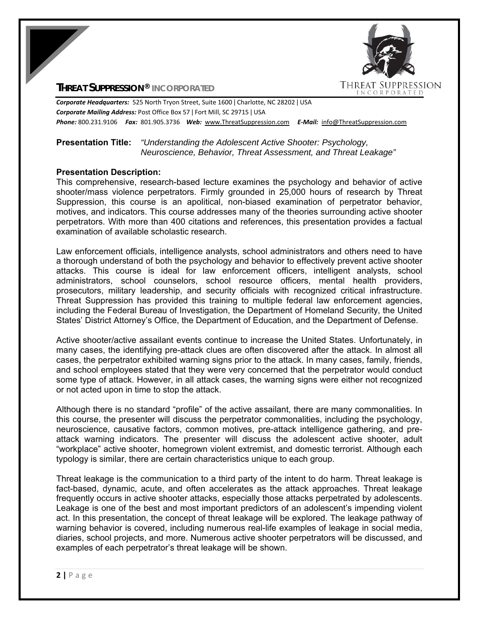

## **THREAT SUPPRESSION® INCORPORATED**

*Corporate Headquarters:* 525 North Tryon Street, Suite 1600 ǀ Charlotte, NC 28202 ǀ USA *Corporate Mailing Address:* Post Office Box 57 ǀ Fort Mill, SC 29715 ǀ USA *Phone:* 800.231.9106  *Fax:* 801.905.3736 *Web:* www.ThreatSuppression.com *E‐Mail:*  info@ThreatSuppression.com

## **Presentation Title:** *"Understanding the Adolescent Active Shooter: Psychology, Neuroscience, Behavior, Threat Assessment, and Threat Leakage"*

## **Presentation Description:**

This comprehensive, research-based lecture examines the psychology and behavior of active shooter/mass violence perpetrators. Firmly grounded in 25,000 hours of research by Threat Suppression, this course is an apolitical, non-biased examination of perpetrator behavior, motives, and indicators. This course addresses many of the theories surrounding active shooter perpetrators. With more than 400 citations and references, this presentation provides a factual examination of available scholastic research.

Law enforcement officials, intelligence analysts, school administrators and others need to have a thorough understand of both the psychology and behavior to effectively prevent active shooter attacks. This course is ideal for law enforcement officers, intelligent analysts, school administrators, school counselors, school resource officers, mental health providers, prosecutors, military leadership, and security officials with recognized critical infrastructure. Threat Suppression has provided this training to multiple federal law enforcement agencies, including the Federal Bureau of Investigation, the Department of Homeland Security, the United States' District Attorney's Office, the Department of Education, and the Department of Defense.

Active shooter/active assailant events continue to increase the United States. Unfortunately, in many cases, the identifying pre-attack clues are often discovered after the attack. In almost all cases, the perpetrator exhibited warning signs prior to the attack. In many cases, family, friends, and school employees stated that they were very concerned that the perpetrator would conduct some type of attack. However, in all attack cases, the warning signs were either not recognized or not acted upon in time to stop the attack.

Although there is no standard "profile" of the active assailant, there are many commonalities. In this course, the presenter will discuss the perpetrator commonalities, including the psychology, neuroscience, causative factors, common motives, pre-attack intelligence gathering, and preattack warning indicators. The presenter will discuss the adolescent active shooter, adult "workplace" active shooter, homegrown violent extremist, and domestic terrorist. Although each typology is similar, there are certain characteristics unique to each group.

Threat leakage is the communication to a third party of the intent to do harm. Threat leakage is fact-based, dynamic, acute, and often accelerates as the attack approaches. Threat leakage frequently occurs in active shooter attacks, especially those attacks perpetrated by adolescents. Leakage is one of the best and most important predictors of an adolescent's impending violent act. In this presentation, the concept of threat leakage will be explored. The leakage pathway of warning behavior is covered, including numerous real-life examples of leakage in social media, diaries, school projects, and more. Numerous active shooter perpetrators will be discussed, and examples of each perpetrator's threat leakage will be shown.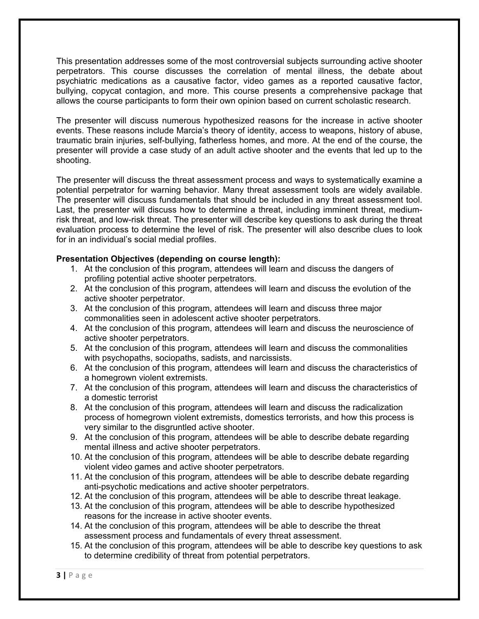This presentation addresses some of the most controversial subjects surrounding active shooter perpetrators. This course discusses the correlation of mental illness, the debate about psychiatric medications as a causative factor, video games as a reported causative factor, bullying, copycat contagion, and more. This course presents a comprehensive package that allows the course participants to form their own opinion based on current scholastic research.

The presenter will discuss numerous hypothesized reasons for the increase in active shooter events. These reasons include Marcia's theory of identity, access to weapons, history of abuse, traumatic brain injuries, self-bullying, fatherless homes, and more. At the end of the course, the presenter will provide a case study of an adult active shooter and the events that led up to the shooting.

The presenter will discuss the threat assessment process and ways to systematically examine a potential perpetrator for warning behavior. Many threat assessment tools are widely available. The presenter will discuss fundamentals that should be included in any threat assessment tool. Last, the presenter will discuss how to determine a threat, including imminent threat, mediumrisk threat, and low-risk threat. The presenter will describe key questions to ask during the threat evaluation process to determine the level of risk. The presenter will also describe clues to look for in an individual's social medial profiles.

## **Presentation Objectives (depending on course length):**

- 1. At the conclusion of this program, attendees will learn and discuss the dangers of profiling potential active shooter perpetrators.
- 2. At the conclusion of this program, attendees will learn and discuss the evolution of the active shooter perpetrator.
- 3. At the conclusion of this program, attendees will learn and discuss three major commonalities seen in adolescent active shooter perpetrators.
- 4. At the conclusion of this program, attendees will learn and discuss the neuroscience of active shooter perpetrators.
- 5. At the conclusion of this program, attendees will learn and discuss the commonalities with psychopaths, sociopaths, sadists, and narcissists.
- 6. At the conclusion of this program, attendees will learn and discuss the characteristics of a homegrown violent extremists.
- 7. At the conclusion of this program, attendees will learn and discuss the characteristics of a domestic terrorist
- 8. At the conclusion of this program, attendees will learn and discuss the radicalization process of homegrown violent extremists, domestics terrorists, and how this process is very similar to the disgruntled active shooter.
- 9. At the conclusion of this program, attendees will be able to describe debate regarding mental illness and active shooter perpetrators.
- 10. At the conclusion of this program, attendees will be able to describe debate regarding violent video games and active shooter perpetrators.
- 11. At the conclusion of this program, attendees will be able to describe debate regarding anti-psychotic medications and active shooter perpetrators.
- 12. At the conclusion of this program, attendees will be able to describe threat leakage.
- 13. At the conclusion of this program, attendees will be able to describe hypothesized reasons for the increase in active shooter events.
- 14. At the conclusion of this program, attendees will be able to describe the threat assessment process and fundamentals of every threat assessment.
- 15. At the conclusion of this program, attendees will be able to describe key questions to ask to determine credibility of threat from potential perpetrators.